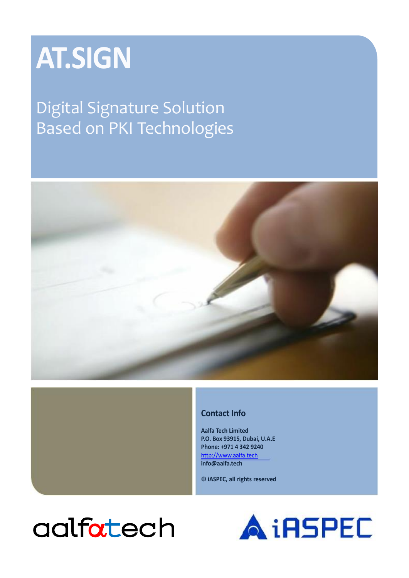# **AT.SIGN**

## Digital Signature Solution Based on PKI Technologies



#### **Contact Info**

**Aalfa Tech Limited P.O. Box 93915, Dubai, U.A.E Phone: +971 4 342 9240** [http://www.aalfa.tech](http://www.aalfa.tech/) **info@aalfa.tech**

**© iASPEC, all rights reserved**

## aalfatech

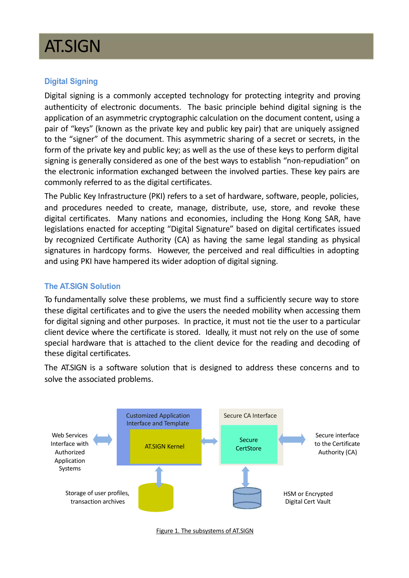## AT.SIGN

#### **Digital Signing**

Digital signing is a commonly accepted technology for protecting integrity and proving authenticity of electronic documents. The basic principle behind digital signing is the application of an asymmetric cryptographic calculation on the document content, using a pair of "keys" (known as the private key and public key pair) that are uniquely assigned to the "signer" of the document. This asymmetric sharing of a secret or secrets, in the form of the private key and public key; as well as the use of these keys to perform digital signing is generally considered as one of the best ways to establish "non-repudiation" on the electronic information exchanged between the involved parties. These key pairs are commonly referred to as the digital certificates.

The Public Key Infrastructure (PKI) refers to a set of hardware, software, people, policies, and procedures needed to create, manage, distribute, use, store, and revoke these digital certificates. Many nations and economies, including the Hong Kong SAR, have legislations enacted for accepting "Digital Signature" based on digital certificates issued by recognized Certificate Authority (CA) as having the same legal standing as physical signatures in hardcopy forms. However, the perceived and real difficulties in adopting and using PKI have hampered its wider adoption of digital signing.

#### **The AT.SIGN Solution**

To fundamentally solve these problems, we must find a sufficiently secure way to store these digital certificates and to give the users the needed mobility when accessing them for digital signing and other purposes. In practice, it must not tie the user to a particular client device where the certificate is stored. Ideally, it must not rely on the use of some special hardware that is attached to the client device for the reading and decoding of these digital certificates.

The AT.SIGN is a software solution that is designed to address these concerns and to solve the associated problems.



Figure 1. The subsystems of AT.SIGN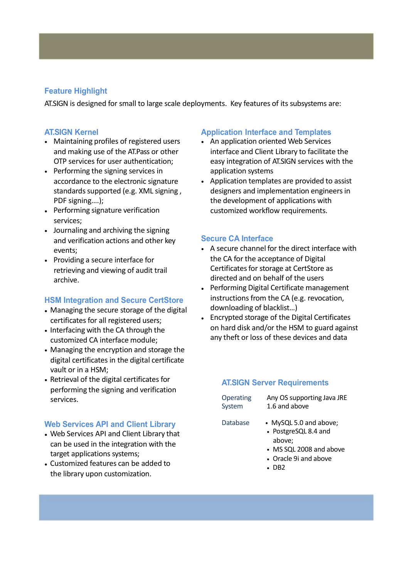#### **Feature Highlight**

AT.SIGN is designed for small to large scale deployments. Key features of its subsystems are:

#### **AT.SIGN Kernel**

- Maintaining profiles of registered users and making use of the AT.Pass or other OTP services for user authentication;
- Performing the signing services in accordance to the electronic signature standards supported (e.g. XML signing, PDF signing….);
- Performing signature verification services;
- Journaling and archiving the signing and verification actions and other key events;
- Providing a secure interface for retrieving and viewing of audit trail archive.

#### **HSM Integration and Secure CertStore**

- Managing the secure storage of the digital certificates for all registered users;
- Interfacing with the CA through the customized CA interface module;
- Managing the encryption and storage the digital certificates in the digital certificate vault or in a HSM;
- Retrieval of the digital certificates for performing the signing and verification services.

#### **Web Services API and Client Library**

- Web Services API and Client Library that can be used in the integration with the target applications systems;
- Customized features can be added to the library upon customization.

#### **Application Interface and Templates**

- An application oriented Web Services interface and Client Library to facilitate the easy integration of AT.SIGN services with the application systems
- Application templates are provided to assist designers and implementation engineers in the development of applications with customized workflow requirements.

#### **Secure CA Interface**

- A secure channel for the direct interface with the CA for the acceptance of Digital Certificates for storage at CertStore as directed and on behalf of the users
- Performing Digital Certificate management instructions from the CA (e.g. revocation, downloading of blacklist…)
- Encrypted storage of the Digital Certificates on hard disk and/or the HSM to guard against any theft or loss of these devices and data

#### **AT.SIGN Server Requirements**

System

Any OS supporting Java JRE 1.6 and above

- Database MySQL 5.0 and above; • PostgreSQL 8.4 and
	- above;
	- MS SQL 2008 and above
	- Oracle 9i and above
	- DB2